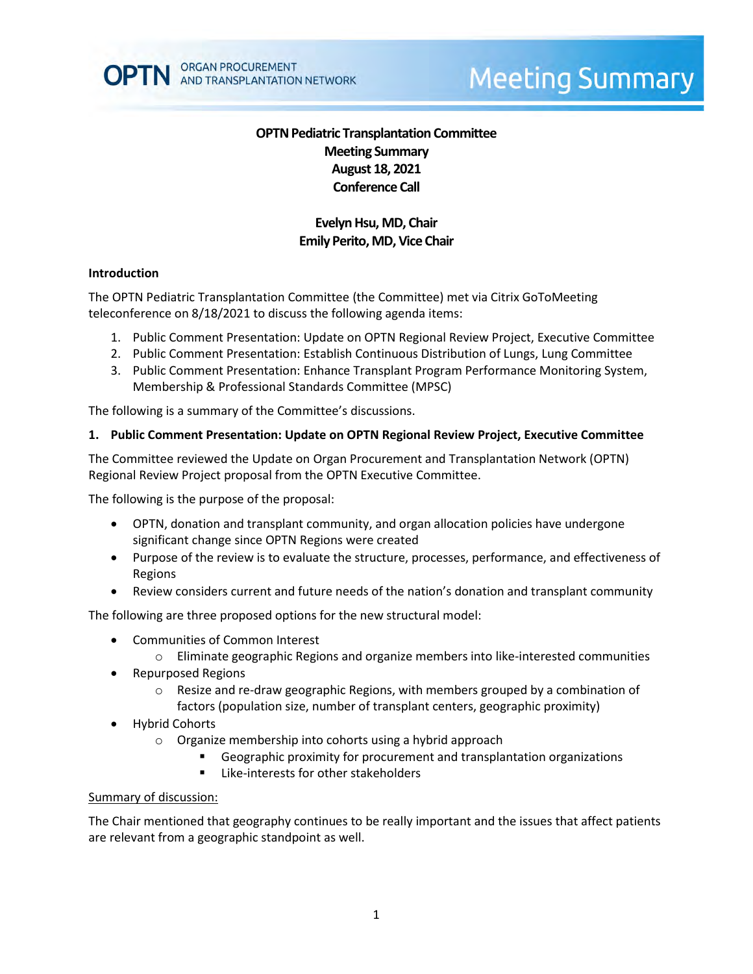

# **Meeting Summary**

# **OPTN Pediatric Transplantation Committee Meeting Summary August 18, 2021 Conference Call**

# **Evelyn Hsu, MD, Chair Emily Perito, MD, Vice Chair**

### **Introduction**

The OPTN Pediatric Transplantation Committee (the Committee) met via Citrix GoToMeeting teleconference on 8/18/2021 to discuss the following agenda items:

- 1. Public Comment Presentation: Update on OPTN Regional Review Project, Executive Committee
- 2. Public Comment Presentation: Establish Continuous Distribution of Lungs, Lung Committee
- 3. Public Comment Presentation: Enhance Transplant Program Performance Monitoring System, Membership & Professional Standards Committee (MPSC)

The following is a summary of the Committee's discussions.

### **1. Public Comment Presentation: Update on OPTN Regional Review Project, Executive Committee**

The Committee reviewed the Update on Organ Procurement and Transplantation Network (OPTN) Regional Review Project proposal from the OPTN Executive Committee.

The following is the purpose of the proposal:

- OPTN, donation and transplant community, and organ allocation policies have undergone significant change since OPTN Regions were created
- Purpose of the review is to evaluate the structure, processes, performance, and effectiveness of Regions
- Review considers current and future needs of the nation's donation and transplant community

The following are three proposed options for the new structural model:

- Communities of Common Interest
	- $\circ$  Eliminate geographic Regions and organize members into like-interested communities
- Repurposed Regions
	- $\circ$  Resize and re-draw geographic Regions, with members grouped by a combination of factors (population size, number of transplant centers, geographic proximity)
- Hybrid Cohorts
	- o Organize membership into cohorts using a hybrid approach
		- Geographic proximity for procurement and transplantation organizations
		- **EXEC** Like-interests for other stakeholders

#### Summary of discussion:

The Chair mentioned that geography continues to be really important and the issues that affect patients are relevant from a geographic standpoint as well.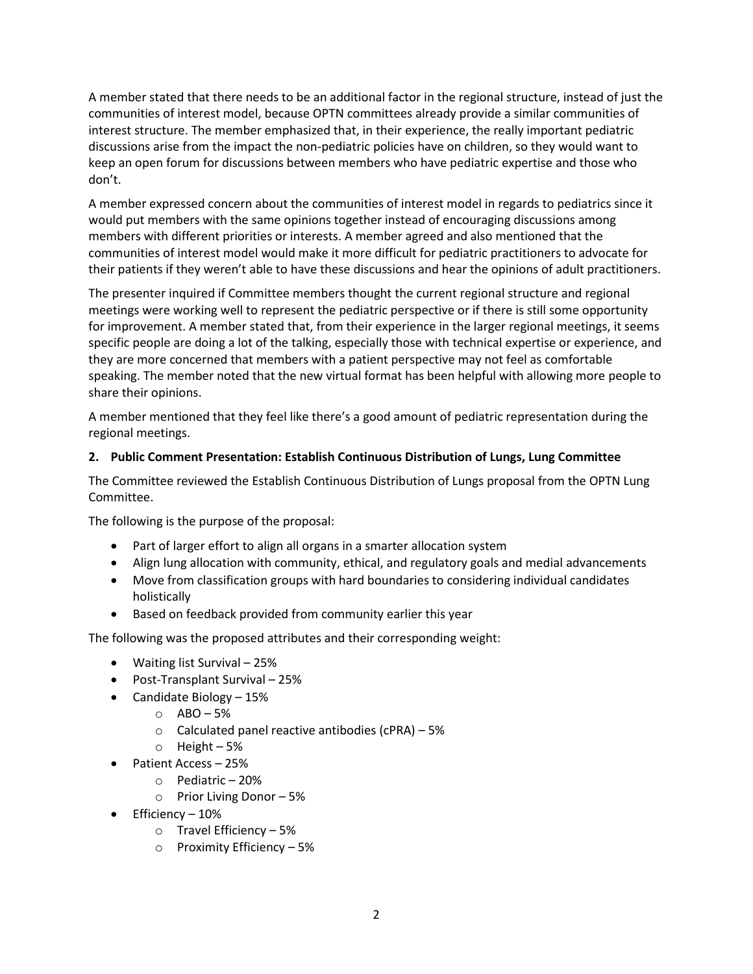A member stated that there needs to be an additional factor in the regional structure, instead of just the communities of interest model, because OPTN committees already provide a similar communities of interest structure. The member emphasized that, in their experience, the really important pediatric discussions arise from the impact the non-pediatric policies have on children, so they would want to keep an open forum for discussions between members who have pediatric expertise and those who don't.

A member expressed concern about the communities of interest model in regards to pediatrics since it would put members with the same opinions together instead of encouraging discussions among members with different priorities or interests. A member agreed and also mentioned that the communities of interest model would make it more difficult for pediatric practitioners to advocate for their patients if they weren't able to have these discussions and hear the opinions of adult practitioners.

The presenter inquired if Committee members thought the current regional structure and regional meetings were working well to represent the pediatric perspective or if there is still some opportunity for improvement. A member stated that, from their experience in the larger regional meetings, it seems specific people are doing a lot of the talking, especially those with technical expertise or experience, and they are more concerned that members with a patient perspective may not feel as comfortable speaking. The member noted that the new virtual format has been helpful with allowing more people to share their opinions.

A member mentioned that they feel like there's a good amount of pediatric representation during the regional meetings.

## **2. Public Comment Presentation: Establish Continuous Distribution of Lungs, Lung Committee**

The Committee reviewed the Establish Continuous Distribution of Lungs proposal from the OPTN Lung Committee.

The following is the purpose of the proposal:

- Part of larger effort to align all organs in a smarter allocation system
- Align lung allocation with community, ethical, and regulatory goals and medial advancements
- Move from classification groups with hard boundaries to considering individual candidates holistically
- Based on feedback provided from community earlier this year

The following was the proposed attributes and their corresponding weight:

- Waiting list Survival 25%
- Post-Transplant Survival 25%
- Candidate Biology 15%
	- o ABO 5%
	- $\circ$  Calculated panel reactive antibodies (cPRA) 5%
	- o Height 5%
- Patient Access 25%
	- o Pediatric 20%
	- o Prior Living Donor 5%
- $\bullet$  Efficiency 10%
	- o Travel Efficiency 5%
	- o Proximity Efficiency 5%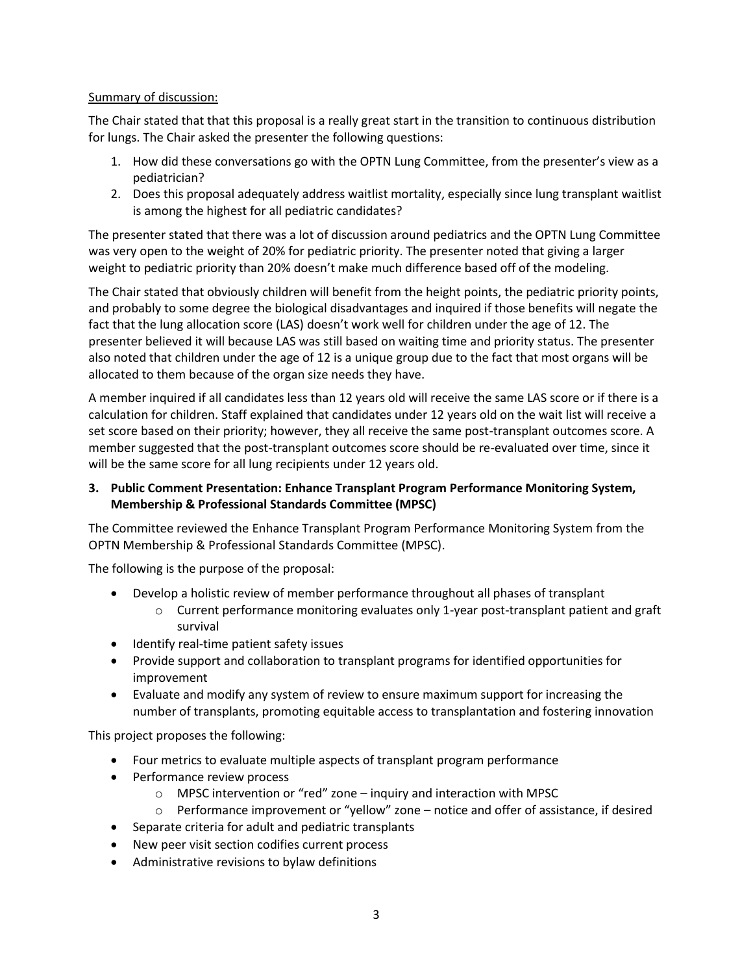## Summary of discussion:

The Chair stated that that this proposal is a really great start in the transition to continuous distribution for lungs. The Chair asked the presenter the following questions:

- 1. How did these conversations go with the OPTN Lung Committee, from the presenter's view as a pediatrician?
- 2. Does this proposal adequately address waitlist mortality, especially since lung transplant waitlist is among the highest for all pediatric candidates?

The presenter stated that there was a lot of discussion around pediatrics and the OPTN Lung Committee was very open to the weight of 20% for pediatric priority. The presenter noted that giving a larger weight to pediatric priority than 20% doesn't make much difference based off of the modeling.

The Chair stated that obviously children will benefit from the height points, the pediatric priority points, and probably to some degree the biological disadvantages and inquired if those benefits will negate the fact that the lung allocation score (LAS) doesn't work well for children under the age of 12. The presenter believed it will because LAS was still based on waiting time and priority status. The presenter also noted that children under the age of 12 is a unique group due to the fact that most organs will be allocated to them because of the organ size needs they have.

A member inquired if all candidates less than 12 years old will receive the same LAS score or if there is a calculation for children. Staff explained that candidates under 12 years old on the wait list will receive a set score based on their priority; however, they all receive the same post-transplant outcomes score. A member suggested that the post-transplant outcomes score should be re-evaluated over time, since it will be the same score for all lung recipients under 12 years old.

# **3. Public Comment Presentation: Enhance Transplant Program Performance Monitoring System, Membership & Professional Standards Committee (MPSC)**

The Committee reviewed the Enhance Transplant Program Performance Monitoring System from the OPTN Membership & Professional Standards Committee (MPSC).

The following is the purpose of the proposal:

- Develop a holistic review of member performance throughout all phases of transplant
	- $\circ$  Current performance monitoring evaluates only 1-year post-transplant patient and graft survival
- Identify real-time patient safety issues
- Provide support and collaboration to transplant programs for identified opportunities for improvement
- Evaluate and modify any system of review to ensure maximum support for increasing the number of transplants, promoting equitable access to transplantation and fostering innovation

This project proposes the following:

- Four metrics to evaluate multiple aspects of transplant program performance
- Performance review process
	- $\circ$  MPSC intervention or "red" zone inquiry and interaction with MPSC
	- $\circ$  Performance improvement or "yellow" zone notice and offer of assistance, if desired
- Separate criteria for adult and pediatric transplants
- New peer visit section codifies current process
- Administrative revisions to bylaw definitions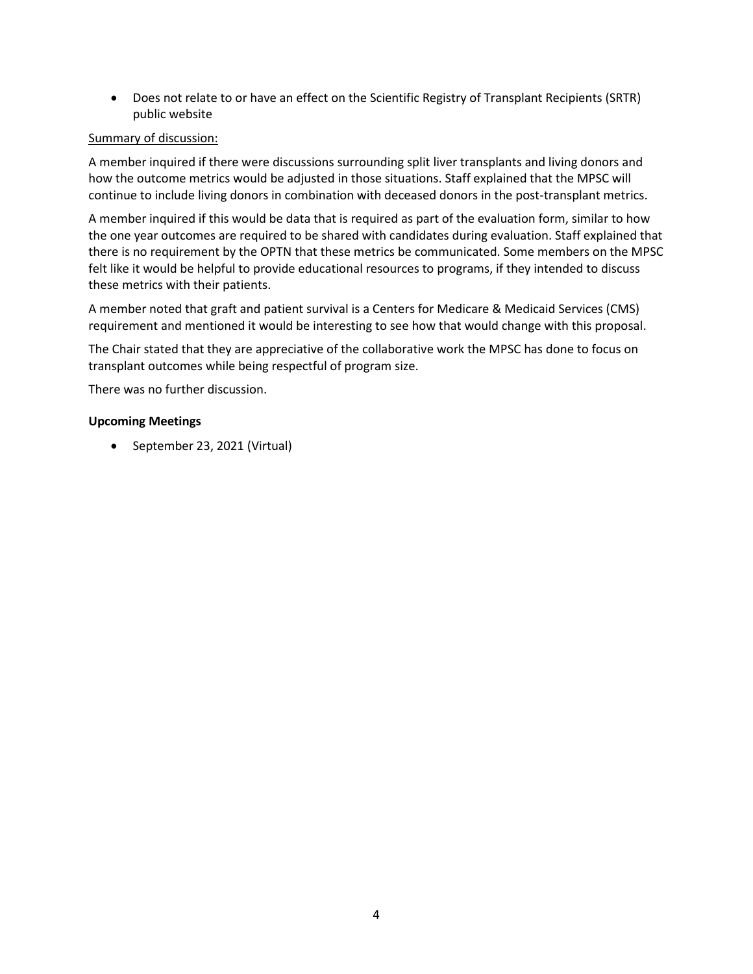Does not relate to or have an effect on the Scientific Registry of Transplant Recipients (SRTR) public website

## Summary of discussion:

A member inquired if there were discussions surrounding split liver transplants and living donors and how the outcome metrics would be adjusted in those situations. Staff explained that the MPSC will continue to include living donors in combination with deceased donors in the post-transplant metrics.

A member inquired if this would be data that is required as part of the evaluation form, similar to how the one year outcomes are required to be shared with candidates during evaluation. Staff explained that there is no requirement by the OPTN that these metrics be communicated. Some members on the MPSC felt like it would be helpful to provide educational resources to programs, if they intended to discuss these metrics with their patients.

A member noted that graft and patient survival is a Centers for Medicare & Medicaid Services (CMS) requirement and mentioned it would be interesting to see how that would change with this proposal.

The Chair stated that they are appreciative of the collaborative work the MPSC has done to focus on transplant outcomes while being respectful of program size.

There was no further discussion.

### **Upcoming Meetings**

• September 23, 2021 (Virtual)